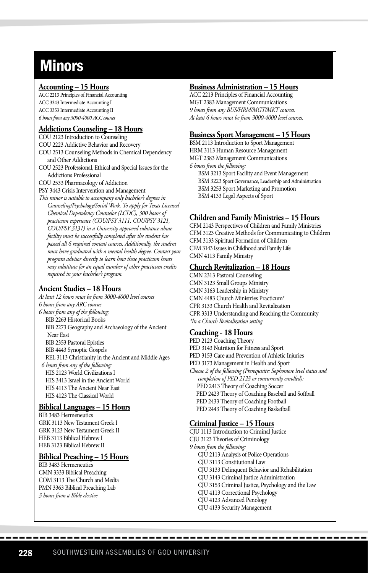# **Minors**

#### **Accounting – 15 Hours**

ACC 2213 Principles of Financial Accounting ACC 3343 Intermediate Accounting I ACC 3353 Intermediate Accounting II *6 hours from any 3000-4000 ACC courses*

#### **Addictions Counseling – 18 Hours**

COU 2123 Introduction to Counseling

COU 2223 Addictive Behavior and Recovery

COU 2513 Counseling Methods in Chemical Dependency and Other Addictions

COU 2523 Professional, Ethical and Special Issues for the Addictions Professional

COU 2533 Pharmacology of Addiction

PSY 3443 Crisis Intervention and Management

*This minor is suitable to accompany only bachelor's degrees in Counseling/Psychology/Social Work. To apply for Texas Licensed Chemical Dependency Counselor (LCDC), 300 hours of practicum experience (COU/PSY 3111, COU/PSY 3121, COU/PSY 3131) in a University approved substance abuse facility must be successfully completed after the student has passed all 6 required content courses. Additionally, the student must have graduated with a mental health degree. Contact your program advisor directly to learn how these practicum hours may substitute for an equal number of other practicum credits required in your bachelor's program.* 

#### **Ancient Studies – 18 Hours**

*At least 12 hours must be from 3000-4000 level courses 6 hours from any ARC courses 6 hours from any of the following:* BIB 2263 Historical Books BIB 2273 Geography and Archaeology of the Ancient Near East BIB 2353 Pastoral Epistles BIB 4443 Synoptic Gospels REL 3113 Christianity in the Ancient and Middle Ages *6 hours from any of the following:* HIS 2123 World Civilizations I HIS 3413 Israel in the Ancient World HIS 4113 The Ancient Near East HIS 4123 The Classical World

#### **Biblical Languages – 15 Hours**

BIB 3483 Hermeneutics GRK 3113 New Testament Greek I GRK 3123 New Testament Greek II HEB 3113 Biblical Hebrew I HEB 3123 Biblical Hebrew II

# **Biblical Preaching – 15 Hours**

BIB 3483 Hermeneutics CMN 3333 Biblical Preaching COM 3113 The Church and Media PMN 3363 Biblical Preaching Lab *3 hours from a Bible elective*

#### **Business Administration – 15 Hours**

ACC 2213 Principles of Financial Accounting MGT 2383 Management Communications *9 hours from any BUS/HRM/MGT/MKT courses. At least 6 hours must be from 3000-4000 level courses.* 

#### **Business Sport Management – 15 Hours**

BSM 2113 Introduction to Sport Management HRM 3113 Human Resource Management MGT 2383 Management Communications *6 hours from the following:*

BSM 3213 Sport Facility and Event Management BSM 3223 Sport Governance, Leadership and Administration BSM 3253 Sport Marketing and Promotion BSM 4133 Legal Aspects of Sport

# **Children and Family Ministries – 15 Hours**

CFM 2143 Perspectives of Children and Family Ministries CFM 3123 Creative Methods for Communicating to Children CFM 3133 Spiritual Formation of Children CFM 3143 Issues in Childhood and Family Life CMN 4113 Family Ministry

# **Church Revitalization – 18 Hours**

CMN 2313 Pastoral Counseling CMN 3123 Small Groups Ministry CMN 3163 Leadership in Ministry CMN 4483 Church Ministries Practicum\* CPR 3133 Church Health and Revitalization CPR 3313 Understanding and Reaching the Community *\*In a Church Revitalization setting*

#### **Coaching - 18 Hours**

PED 2123 Coaching Theory PED 3143 Nutrition for Fitness and Sport PED 3153 Care and Prevention of Athletic Injuries PED 3173 Management in Health and Sport *Choose 2 of the following (Prerequisite: Sophomore level status and completion of PED 2123 or concurrently enrolled):* PED 2413 Theory of Coaching Soccer PED 2423 Theory of Coaching Baseball and Softball PED 2433 Theory of Coaching Football PED 2443 Theory of Coaching Basketball

#### **Criminal Justice – 15 Hours**

CJU 1113 Introduction to Criminal Justice CJU 3123 Theories of Criminology *9 hours from the following:* CJU 2113 Analysis of Police Operations CJU 3113 Constitutional Law CJU 3133 Delinquent Behavior and Rehabilitation CJU 3143 Criminal Justice Administration CJU 3153 Criminal Justice, Psychology and the Law CJU 4113 Correctional Psychology CJU 4123 Advanced Penology CJU 4133 Security Management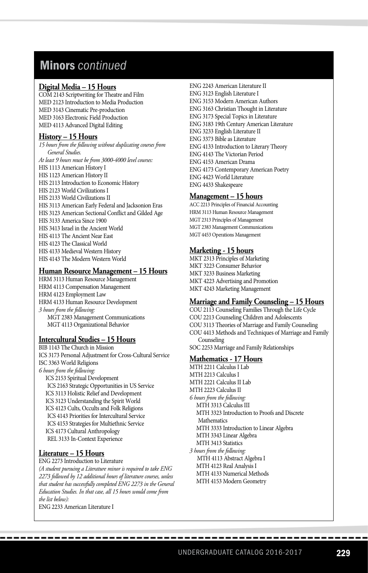# Minors *continued*

#### **Digital Media – 15 Hours**

COM 2143 Scriptwriting for Theatre and Film MED 2123 Introduction to Media Production MED 3143 Cinematic Pre-production MED 3163 Electronic Field Production MED 4113 Advanced Digital Editing

### **History – 15 Hours**

*15 hours from the following without duplicating courses from General Studies. At least 9 hours must be from 3000-4000 level courses:* HIS 1113 American History I HIS 1123 American History II HIS 2113 Introduction to Economic History HIS 2123 World Civilizations I HIS 2133 World Civilizations II HIS 3113 American Early Federal and Jacksonion Eras HIS 3123 American Sectional Conflict and Gilded Age HIS 3133 America Since 1900 HIS 3413 Israel in the Ancient World HIS 4113 The Ancient Near East HIS 4123 The Classical World HIS 4133 Medieval Western History HIS 4143 The Modern Western World

#### **Human Resource Management – 15 Hours**

HRM 3113 Human Resource Management HRM 4113 Compensation Management HRM 4123 Employment Law HRM 4133 Human Resource Development *3 hours from the following:* MGT 2383 Management Communications MGT 4113 Organizational Behavior

# **Intercultural Studies – 15 Hours**

BIB 1143 The Church in Mission ICS 3173 Personal Adjustment for Cross-Cultural Service ISC 3363 World Religions *6 hours from the following:* ICS 2153 Spiritual Development ICS 2163 Strategic Opportunities in US Service ICS 3113 Holistic Relief and Development ICS 3123 Understanding the Spirit World ICS 4123 Cults, Occults and Folk Religions ICS 4143 Priorities for Intercultural Service ICS 4153 Strategies for Multiethnic Service ICS 4173 Cultural Anthropology REL 3133 In-Context Experience

### **Literature – 15 Hours**

ENG 2273 Introduction to Literature

*(A student pursuing a Literature minor is required to take ENG 2273 followed by 12 additional hours of literature courses, unless that student has successfully completed ENG 2273 in the General Education Studies. In that case, all 15 hours would come from the list below):*

ENG 2233 American Literature I

ENG 2243 American Literature II ENG 3123 English Literature I ENG 3153 Modern American Authors ENG 3163 Christian Thought in Literature ENG 3173 Special Topics in Literature ENG 3183 19th Century American Literature ENG 3233 English Literature II ENG 3373 Bible as Literature ENG 4133 Introduction to Literary Theory ENG 4143 The Victorian Period ENG 4153 American Drama ENG 4173 Contemporary American Poetry ENG 4423 World Literature ENG 4433 Shakespeare

#### **Management – 15 hours**

ACC 2213 Principles of Financial Accounting HRM 3113 Human Resource Management MGT 2313 Principles of Management MGT 2383 Management Communications MGT 4453 Operations Management

#### **Marketing - 15 hours**

MKT 2313 Principles of Marketing MKT 3223 Consumer Behavior MKT 3233 Business Marketing MKT 4223 Advertising and Promotion MKT 4243 Marketing Management

#### **Marriage and Family Counseling – 15 Hours**

COU 2113 Counseling Families Through the Life Cycle COU 2213 Counseling Children and Adolescents COU 3113 Theories of Marriage and Family Counseling COU 4413 Methods and Techniques of Marriage and Family Counseling SOC 2253 Marriage and Family Relationships

#### **Mathematics - 17 Hours**

MTH 2211 Calculus I Lab MTH 2213 Calculus I MTH 2221 Calculus II Lab MTH 2223 Calculus II *6 hours from the following:* MTH 3313 Calculus III MTH 3323 Introduction to Proofs and Discrete **Mathematics**  MTH 3333 Introduction to Linear Algebra MTH 3343 Linear Algebra MTH 3413 Statistics *3 hours from the following:* MTH 4113 Abstract Algebra I MTH 4123 Real Analysis I MTH 4133 Numerical Methods MTH 4153 Modern Geometry